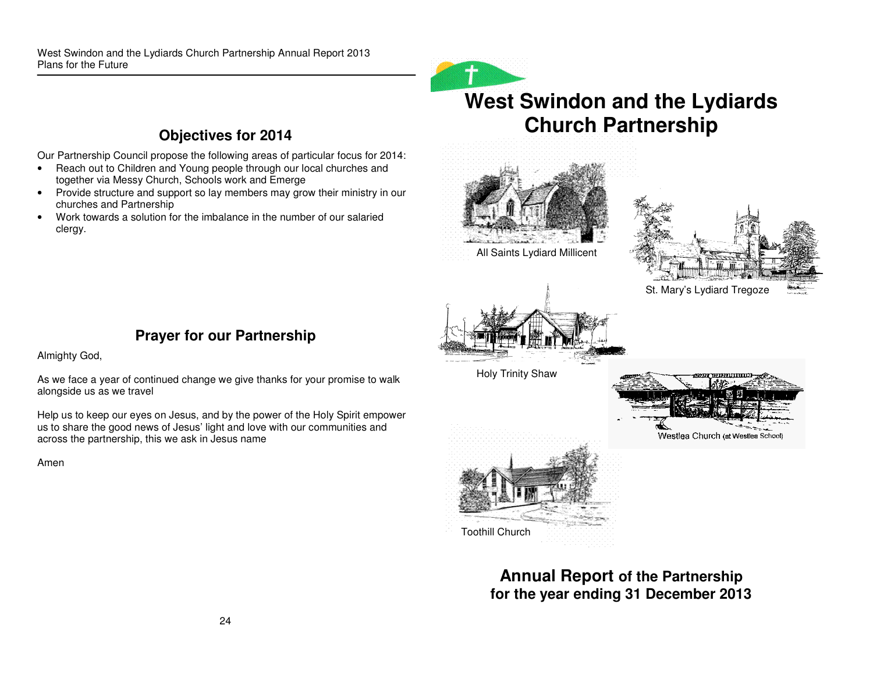# **West Swindon and the Lydiards Church Partnership**



**Annual Report of the Partnership for the year ending 31 December 2013** 

## **Objectives for 2014**

Our Partnership Council propose the following areas of particular focus for 2014:

- Reach out to Children and Young people through our local churches and together via Messy Church, Schools work and Emerge
- Provide structure and support so lay members may grow their ministry in our churches and Partnership
- Work towards a solution for the imbalance in the number of our salaried clergy.

### **Prayer for our Partnership**

Almighty God,

As we face a year of continued change we give thanks for your promise to walk alongside us as we travel

Help us to keep our eyes on Jesus, and by the power of the Holy Spirit empower us to share the good news of Jesus' light and love with our communities and across the partnership, this we ask in Jesus name

Amen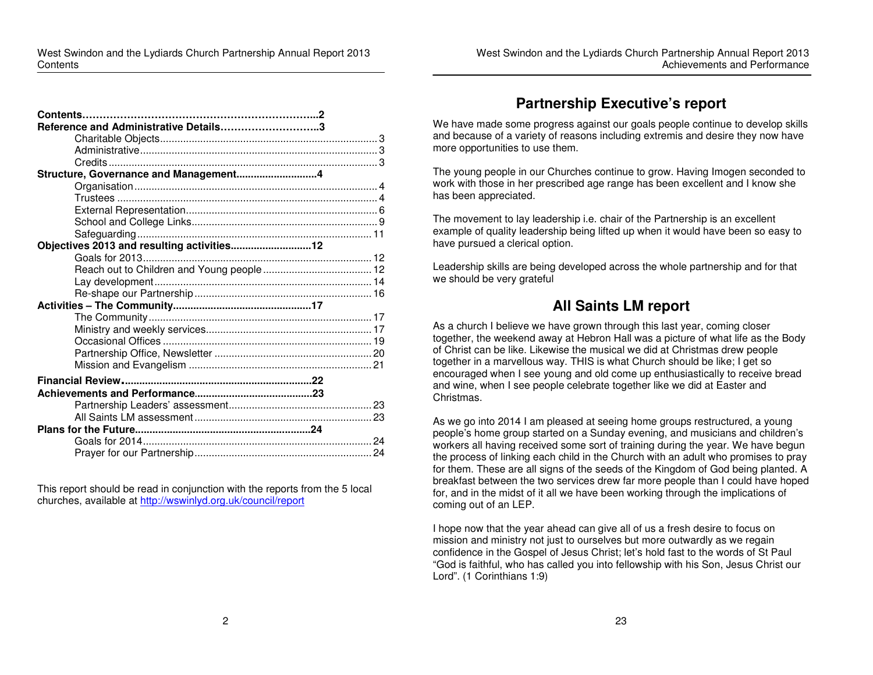| Reference and Administrative Details3      |  |
|--------------------------------------------|--|
|                                            |  |
|                                            |  |
|                                            |  |
| Structure, Governance and Management4      |  |
|                                            |  |
|                                            |  |
|                                            |  |
|                                            |  |
|                                            |  |
| Objectives 2013 and resulting activities12 |  |
|                                            |  |
|                                            |  |
|                                            |  |
|                                            |  |
|                                            |  |
|                                            |  |
|                                            |  |
|                                            |  |
|                                            |  |
|                                            |  |
|                                            |  |
|                                            |  |
|                                            |  |
|                                            |  |
|                                            |  |
|                                            |  |
|                                            |  |
|                                            |  |

This report should be read in conjunction with the reports from the 5 local churches, available at http://wswinlyd.org.uk/council/report

### **Partnership Executive's report**

We have made some progress against our goals people continue to develop skills and because of a variety of reasons including extremis and desire they now have more opportunities to use them.

The young people in our Churches continue to grow. Having Imogen seconded to work with those in her prescribed age range has been excellent and I know she has been appreciated.

The movement to lay leadership i.e. chair of the Partnership is an excellent example of quality leadership being lifted up when it would have been so easy to have pursued a clerical option.

Leadership skills are being developed across the whole partnership and for that we should be very grateful

### **All Saints LM report**

As a church I believe we have grown through this last year, coming closer together, the weekend away at Hebron Hall was a picture of what life as the Body of Christ can be like. Likewise the musical we did at Christmas drew people together in a marvellous way. THIS is what Church should be like; I get so encouraged when I see young and old come up enthusiastically to receive bread and wine, when I see people celebrate together like we did at Easter and Christmas.

As we go into 2014 I am pleased at seeing home groups restructured, a young people's home group started on a Sunday evening, and musicians and children's workers all having received some sort of training during the year. We have begun the process of linking each child in the Church with an adult who promises to pray for them. These are all signs of the seeds of the Kingdom of God being planted. A breakfast between the two services drew far more people than I could have hoped for, and in the midst of it all we have been working through the implications of coming out of an LEP.

I hope now that the year ahead can give all of us a fresh desire to focus on mission and ministry not just to ourselves but more outwardly as we regain confidence in the Gospel of Jesus Christ; let's hold fast to the words of St Paul "God is faithful, who has called you into fellowship with his Son, Jesus Christ our Lord". (1 Corinthians 1:9)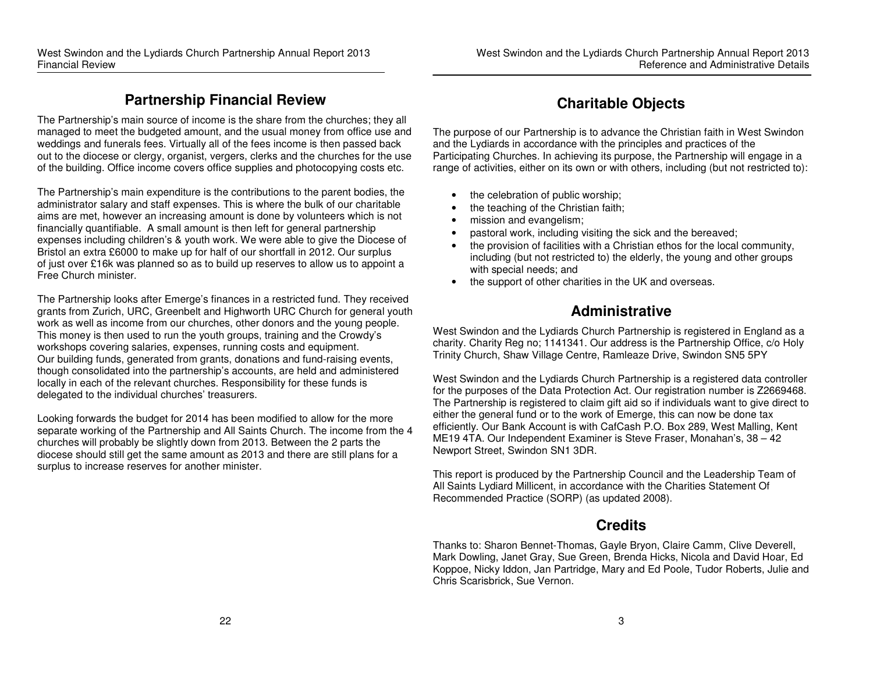### **Partnership Financial Review**

The Partnership's main source of income is the share from the churches; they all managed to meet the budgeted amount, and the usual money from office use and weddings and funerals fees. Virtually all of the fees income is then passed back out to the diocese or clergy, organist, vergers, clerks and the churches for the use of the building. Office income covers office supplies and photocopying costs etc.

The Partnership's main expenditure is the contributions to the parent bodies, the administrator salary and staff expenses. This is where the bulk of our charitable aims are met, however an increasing amount is done by volunteers which is not financially quantifiable. A small amount is then left for general partnership expenses including children's & youth work. We were able to give the Diocese of Bristol an extra £6000 to make up for half of our shortfall in 2012. Our surplus of just over £16k was planned so as to build up reserves to allow us to appoint a Free Church minister.

The Partnership looks after Emerge's finances in a restricted fund. They received grants from Zurich, URC, Greenbelt and Highworth URC Church for general youth work as well as income from our churches, other donors and the young people. This money is then used to run the youth groups, training and the Crowdy's workshops covering salaries, expenses, running costs and equipment. Our building funds, generated from grants, donations and fund-raising events, though consolidated into the partnership's accounts, are held and administered locally in each of the relevant churches. Responsibility for these funds is delegated to the individual churches' treasurers.

Looking forwards the budget for 2014 has been modified to allow for the more separate working of the Partnership and All Saints Church. The income from the 4 churches will probably be slightly down from 2013. Between the 2 parts the diocese should still get the same amount as 2013 and there are still plans for a surplus to increase reserves for another minister.

### **Charitable Objects**

The purpose of our Partnership is to advance the Christian faith in West Swindon and the Lydiards in accordance with the principles and practices of the Participating Churches. In achieving its purpose, the Partnership will engage in a range of activities, either on its own or with others, including (but not restricted to):

- the celebration of public worship;
- the teaching of the Christian faith;
- mission and evangelism;
- pastoral work, including visiting the sick and the bereaved;
- the provision of facilities with a Christian ethos for the local community, including (but not restricted to) the elderly, the young and other groups with special needs; and
- the support of other charities in the UK and overseas.

### **Administrative**

West Swindon and the Lydiards Church Partnership is registered in England as a charity. Charity Reg no; 1141341. Our address is the Partnership Office, c/o Holy Trinity Church, Shaw Village Centre, Ramleaze Drive, Swindon SN5 5PY

West Swindon and the Lydiards Church Partnership is a registered data controller for the purposes of the Data Protection Act. Our registration number is Z2669468. The Partnership is registered to claim gift aid so if individuals want to give direct to either the general fund or to the work of Emerge, this can now be done tax efficiently. Our Bank Account is with CafCash P.O. Box 289, West Malling, Kent ME19 4TA. Our Independent Examiner is Steve Fraser, Monahan's, 38 – 42 Newport Street, Swindon SN1 3DR.

This report is produced by the Partnership Council and the Leadership Team of All Saints Lydiard Millicent, in accordance with the Charities Statement Of Recommended Practice (SORP) (as updated 2008).

### **Credits**

Thanks to: Sharon Bennet-Thomas, Gayle Bryon, Claire Camm, Clive Deverell, Mark Dowling, Janet Gray, Sue Green, Brenda Hicks, Nicola and David Hoar, Ed Koppoe, Nicky Iddon, Jan Partridge, Mary and Ed Poole, Tudor Roberts, Julie and Chris Scarisbrick, Sue Vernon.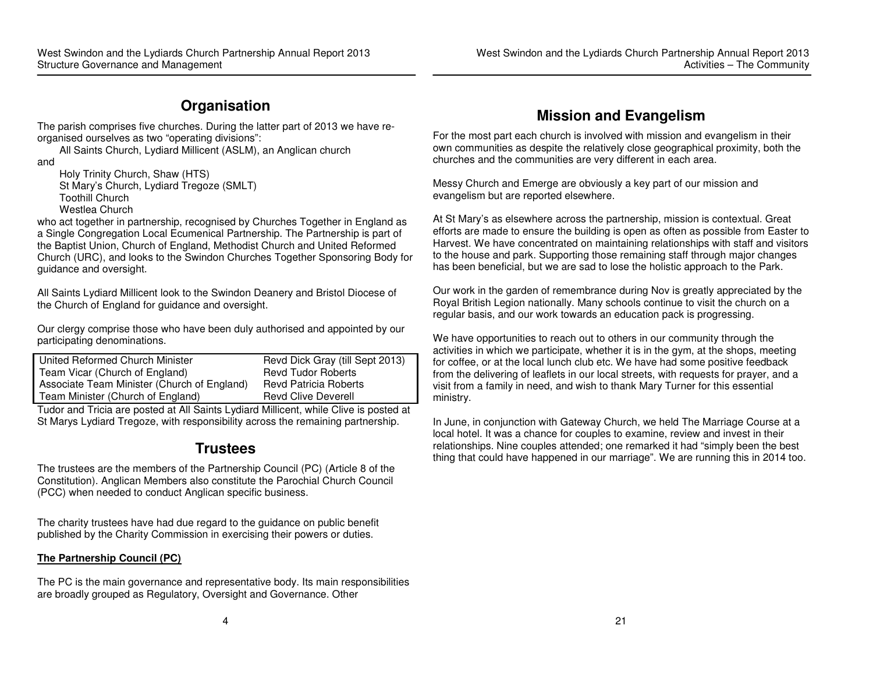### **Organisation**

The parish comprises five churches. During the latter part of 2013 we have reorganised ourselves as two "operating divisions":

 All Saints Church, Lydiard Millicent (ASLM), an Anglican church and

Holy Trinity Church, Shaw (HTS) St Mary's Church, Lydiard Tregoze (SMLT) Toothill Church Westlea Church

 who act together in partnership, recognised by Churches Together in England as a Single Congregation Local Ecumenical Partnership. The Partnership is part of the Baptist Union, Church of England, Methodist Church and United Reformed Church (URC), and looks to the Swindon Churches Together Sponsoring Body for guidance and oversight.

All Saints Lydiard Millicent look to the Swindon Deanery and Bristol Diocese of the Church of England for guidance and oversight.

Our clergy comprise those who have been duly authorised and appointed by our participating denominations.

| United Reformed Church Minister             | Revd Dick Gray (till Sept 2013) |
|---------------------------------------------|---------------------------------|
| Team Vicar (Church of England)              | <b>Revd Tudor Roberts</b>       |
| Associate Team Minister (Church of England) | <b>Revd Patricia Roberts</b>    |
| Team Minister (Church of England)           | <b>Revd Clive Deverell</b>      |

Tudor and Tricia are posted at All Saints Lydiard Millicent, while Clive is posted at St Marys Lydiard Tregoze, with responsibility across the remaining partnership.

### **Trustees**

The trustees are the members of the Partnership Council (PC) (Article 8 of the Constitution). Anglican Members also constitute the Parochial Church Council (PCC) when needed to conduct Anglican specific business.

The charity trustees have had due regard to the guidance on public benefit published by the Charity Commission in exercising their powers or duties.

### **The Partnership Council (PC)**

The PC is the main governance and representative body. Its main responsibilities are broadly grouped as Regulatory, Oversight and Governance. Other

### **Mission and Evangelism**

For the most part each church is involved with mission and evangelism in their own communities as despite the relatively close geographical proximity, both the churches and the communities are very different in each area.

Messy Church and Emerge are obviously a key part of our mission and evangelism but are reported elsewhere.

At St Mary's as elsewhere across the partnership, mission is contextual. Great efforts are made to ensure the building is open as often as possible from Easter to Harvest. We have concentrated on maintaining relationships with staff and visitors to the house and park. Supporting those remaining staff through major changes has been beneficial, but we are sad to lose the holistic approach to the Park.

Our work in the garden of remembrance during Nov is greatly appreciated by the Royal British Legion nationally. Many schools continue to visit the church on a regular basis, and our work towards an education pack is progressing.

We have opportunities to reach out to others in our community through the activities in which we participate, whether it is in the gym, at the shops, meeting for coffee, or at the local lunch club etc. We have had some positive feedback from the delivering of leaflets in our local streets, with requests for prayer, and a visit from a family in need, and wish to thank Mary Turner for this essential ministry.

In June, in conjunction with Gateway Church, we held The Marriage Course at a local hotel. It was a chance for couples to examine, review and invest in their relationships. Nine couples attended; one remarked it had "simply been the best thing that could have happened in our marriage". We are running this in 2014 too.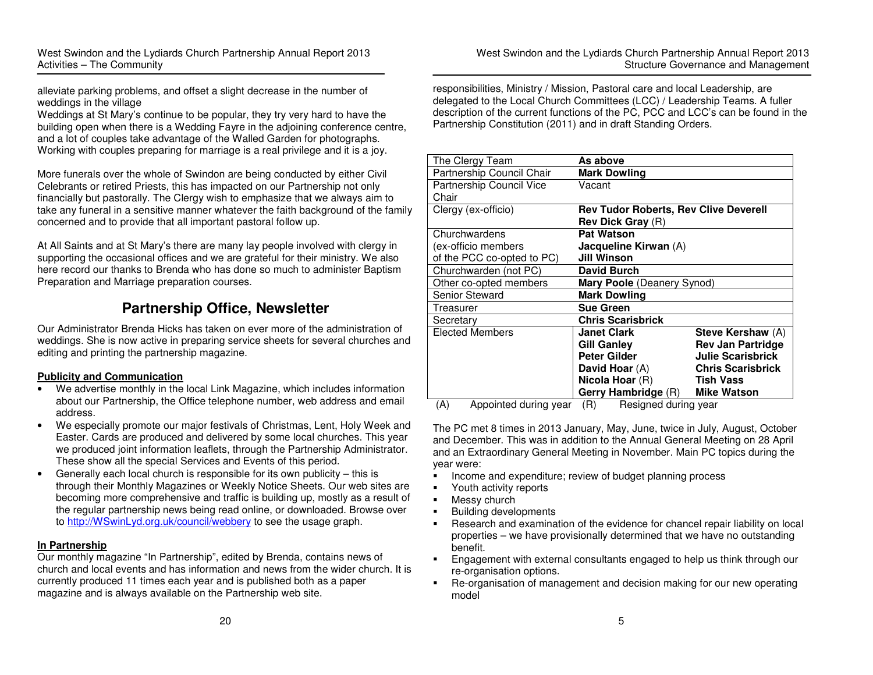West Swindon and the Lydiards Church Partnership Annual Report 2013 Activities – The Community

alleviate parking problems, and offset a slight decrease in the number of weddings in the village

 Weddings at St Mary's continue to be popular, they try very hard to have the building open when there is a Wedding Fayre in the adjoining conference centre, and a lot of couples take advantage of the Walled Garden for photographs. Working with couples preparing for marriage is a real privilege and it is a joy.

More funerals over the whole of Swindon are being conducted by either Civil Celebrants or retired Priests, this has impacted on our Partnership not only financially but pastorally. The Clergy wish to emphasize that we always aim to take any funeral in a sensitive manner whatever the faith background of the family concerned and to provide that all important pastoral follow up.

At All Saints and at St Mary's there are many lay people involved with clergy in supporting the occasional offices and we are grateful for their ministry. We also here record our thanks to Brenda who has done so much to administer Baptism Preparation and Marriage preparation courses.

### **Partnership Office, Newsletter**

Our Administrator Brenda Hicks has taken on ever more of the administration of weddings. She is now active in preparing service sheets for several churches and editing and printing the partnership magazine.

#### **Publicity and Communication**

- We advertise monthly in the local Link Magazine, which includes information about our Partnership, the Office telephone number, web address and email address.
- We especially promote our major festivals of Christmas, Lent, Holy Week and Easter. Cards are produced and delivered by some local churches. This year we produced joint information leaflets, through the Partnership Administrator. These show all the special Services and Events of this period.
- Generally each local church is responsible for its own publicity this is through their Monthly Magazines or Weekly Notice Sheets. Our web sites are becoming more comprehensive and traffic is building up, mostly as a result of the regular partnership news being read online, or downloaded. Browse over to http://WSwinLyd.org.uk/council/webbery to see the usage graph.

#### **In Partnership**

 Our monthly magazine "In Partnership", edited by Brenda, contains news of church and local events and has information and news from the wider church. It is currently produced 11 times each year and is published both as a paper magazine and is always available on the Partnership web site.

responsibilities, Ministry / Mission, Pastoral care and local Leadership, are delegated to the Local Church Committees (LCC) / Leadership Teams. A fuller description of the current functions of the PC, PCC and LCC's can be found in the Partnership Constitution (2011) and in draft Standing Orders.

| The Clergy Team            | As above                                     |                          |  |  |  |
|----------------------------|----------------------------------------------|--------------------------|--|--|--|
| Partnership Council Chair  | <b>Mark Dowling</b>                          |                          |  |  |  |
| Partnership Council Vice   | Vacant                                       |                          |  |  |  |
| Chair                      |                                              |                          |  |  |  |
| Clergy (ex-officio)        | <b>Rev Tudor Roberts, Rev Clive Deverell</b> |                          |  |  |  |
|                            | Rev Dick Gray (R)                            |                          |  |  |  |
| Churchwardens              | <b>Pat Watson</b>                            |                          |  |  |  |
| (ex-officio members        | Jacqueline Kirwan (A)                        |                          |  |  |  |
| of the PCC co-opted to PC) | <b>Jill Winson</b>                           |                          |  |  |  |
| Churchwarden (not PC)      | <b>David Burch</b>                           |                          |  |  |  |
| Other co-opted members     | <b>Mary Poole</b> (Deanery Synod)            |                          |  |  |  |
| Senior Steward             | <b>Mark Dowling</b>                          |                          |  |  |  |
| Treasurer                  | <b>Sue Green</b>                             |                          |  |  |  |
| Secretary                  | <b>Chris Scarisbrick</b>                     |                          |  |  |  |
| <b>Elected Members</b>     | <b>Janet Clark</b>                           | Steve Kershaw (A)        |  |  |  |
|                            | <b>Gill Ganley</b>                           | <b>Rev Jan Partridge</b> |  |  |  |
|                            | Peter Gilder                                 | <b>Julie Scarisbrick</b> |  |  |  |
|                            | David Hoar (A)                               | <b>Chris Scarisbrick</b> |  |  |  |
|                            | Nicola Hoar (R)                              | <b>Tish Vass</b>         |  |  |  |
|                            | <b>Gerry Hambridge</b> (R)                   | <b>Mike Watson</b>       |  |  |  |

(A) Appointed during year (R) Resigned during year

The PC met 8 times in 2013 January, May, June, twice in July, August, October and December. This was in addition to the Annual General Meeting on 28 April and an Extraordinary General Meeting in November. Main PC topics during the year were:

- **Income and expenditure; review of budget planning process**
- Youth activity reports
- Messy church
- **Building developments**
- **Research and examination of the evidence for chancel repair liability on local** properties – we have provisionally determined that we have no outstanding benefit.
- **Engagement with external consultants engaged to help us think through our** re-organisation options.
- **-** Re-organisation of management and decision making for our new operating model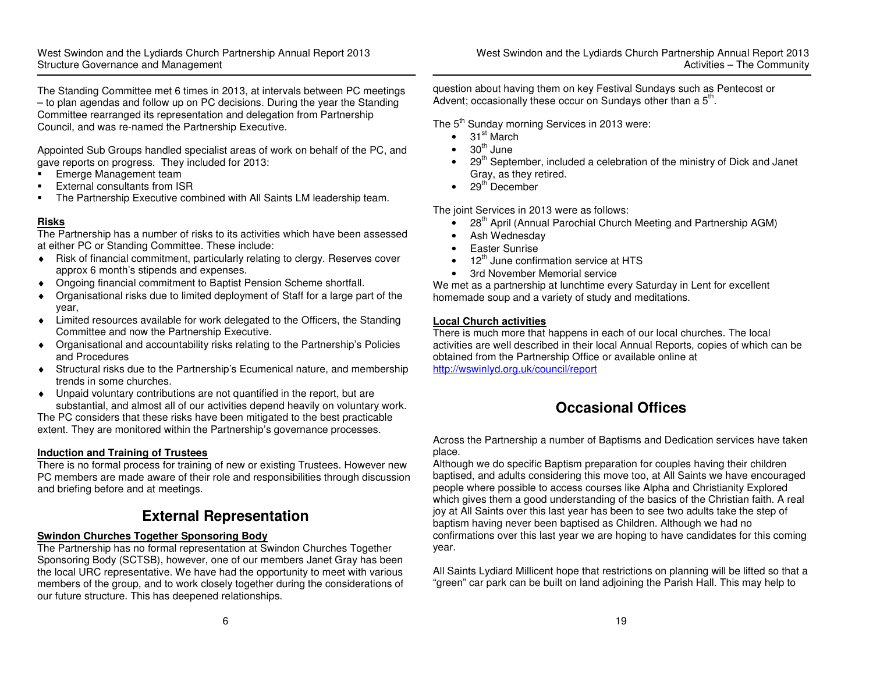The Standing Committee met 6 times in 2013, at intervals between PC meetings – to plan agendas and follow up on PC decisions. During the year the Standing Committee rearranged its representation and delegation from Partnership Council, and was re-named the Partnership Executive.

Appointed Sub Groups handled specialist areas of work on behalf of the PC, and gave reports on progress. They included for 2013:

- Emerge Management team
- **External consultants from ISR**
- The Partnership Executive combined with All Saints LM leadership team.

#### **Risks**

 The Partnership has a number of risks to its activities which have been assessed at either PC or Standing Committee. These include:

- ♦ Risk of financial commitment, particularly relating to clergy. Reserves cover approx 6 month's stipends and expenses.
- ♦ Ongoing financial commitment to Baptist Pension Scheme shortfall.
- ♦ Organisational risks due to limited deployment of Staff for a large part of the year,
- ♦ Limited resources available for work delegated to the Officers, the Standing Committee and now the Partnership Executive.
- ♦ Organisational and accountability risks relating to the Partnership's Policies and Procedures
- ♦ Structural risks due to the Partnership's Ecumenical nature, and membership trends in some churches.
- ♦ Unpaid voluntary contributions are not quantified in the report, but are substantial, and almost all of our activities depend heavily on voluntary work.

The PC considers that these risks have been mitigated to the best practicable extent. They are monitored within the Partnership's governance processes.

#### **Induction and Training of Trustees**

 There is no formal process for training of new or existing Trustees. However new PC members are made aware of their role and responsibilities through discussion and briefing before and at meetings.

### **External Representation**

#### **Swindon Churches Together Sponsoring Body**

 The Partnership has no formal representation at Swindon Churches Together Sponsoring Body (SCTSB), however, one of our members Janet Gray has been the local URC representative. We have had the opportunity to meet with various members of the group, and to work closely together during the considerations of our future structure. This has deepened relationships.

question about having them on key Festival Sundays such as Pentecost or Advent; occasionally these occur on Sundays other than a  $5<sup>th</sup>$ .

The  $5<sup>th</sup>$  Sunday morning Services in 2013 were:

- $31<sup>st</sup> March$
- $30^{\text{th}}$  June
- $29<sup>th</sup>$  September, included a celebration of the ministry of Dick and Janet Gray, as they retired.
- $\bullet$  29<sup>th</sup> December

The joint Services in 2013 were as follows:

- 28<sup>th</sup> April (Annual Parochial Church Meeting and Partnership AGM)
- Ash Wednesday
- **Easter Sunrise**
- $\bullet$  12<sup>th</sup> June confirmation service at HTS
- 3rd November Memorial service

 We met as a partnership at lunchtime every Saturday in Lent for excellent homemade soup and a variety of study and meditations.

#### **Local Church activities**

 There is much more that happens in each of our local churches. The local activities are well described in their local Annual Reports, copies of which can be obtained from the Partnership Office or available online at http://wswinlyd.org.uk/council/report

### **Occasional Offices**

Across the Partnership a number of Baptisms and Dedication services have taken place.

 Although we do specific Baptism preparation for couples having their children baptised, and adults considering this move too, at All Saints we have encouraged people where possible to access courses like Alpha and Christianity Explored which gives them a good understanding of the basics of the Christian faith. A real joy at All Saints over this last year has been to see two adults take the step of baptism having never been baptised as Children. Although we had no confirmations over this last year we are hoping to have candidates for this coming year.

All Saints Lydiard Millicent hope that restrictions on planning will be lifted so that a "green" car park can be built on land adjoining the Parish Hall. This may help to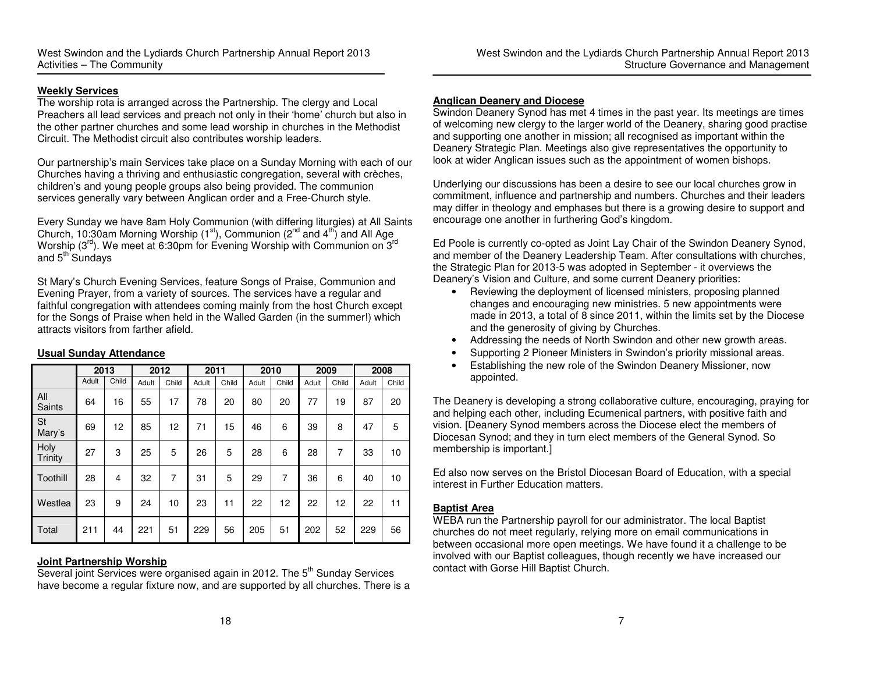#### **Weekly Services**

 The worship rota is arranged across the Partnership. The clergy and Local Preachers all lead services and preach not only in their 'home' church but also in the other partner churches and some lead worship in churches in the Methodist Circuit. The Methodist circuit also contributes worship leaders.

Our partnership's main Services take place on a Sunday Morning with each of our Churches having a thriving and enthusiastic congregation, several with crèches, children's and young people groups also being provided. The communion services generally vary between Anglican order and a Free-Church style.

Every Sunday we have 8am Holy Communion (with differing liturgies) at All Saints Church, 10:30am Morning Worship (1st), Communion (2<sup>nd</sup> and 4<sup>th</sup>) and All Age Worship (3<sup>rd</sup>). We meet at 6:30pm for Evening Worship with Communion on 3<sup>rd</sup> and  $5<sup>th</sup>$  Sundays

St Mary's Church Evening Services, feature Songs of Praise, Communion and Evening Prayer, from a variety of sources. The services have a regular and faithful congregation with attendees coming mainly from the host Church except for the Songs of Praise when held in the Walled Garden (in the summer!) which attracts visitors from farther afield.

#### **Usual Sunday Attendance**

|                     | 2013  |       | 2012  |       | 2011  |       | 2010  |       | 2009  |       | 2008  |       |
|---------------------|-------|-------|-------|-------|-------|-------|-------|-------|-------|-------|-------|-------|
|                     | Adult | Child | Adult | Child | Adult | Child | Adult | Child | Adult | Child | Adult | Child |
| All<br>Saints       | 64    | 16    | 55    | 17    | 78    | 20    | 80    | 20    | 77    | 19    | 87    | 20    |
| <b>St</b><br>Mary's | 69    | 12    | 85    | 12    | 71    | 15    | 46    | 6     | 39    | 8     | 47    | 5     |
| Holy<br>Trinity     | 27    | 3     | 25    | 5     | 26    | 5     | 28    | 6     | 28    | 7     | 33    | 10    |
| Toothill            | 28    | 4     | 32    | 7     | 31    | 5     | 29    | 7     | 36    | 6     | 40    | 10    |
| Westlea             | 23    | 9     | 24    | 10    | 23    | 11    | 22    | 12    | 22    | 12    | 22    | 11    |
| Total               | 211   | 44    | 221   | 51    | 229   | 56    | 205   | 51    | 202   | 52    | 229   | 56    |

#### **Joint Partnership Worship**

Several joint Services were organised again in 2012. The 5<sup>th</sup> Sunday Services have become a regular fixture now, and are supported by all churches. There is a

#### **Anglican Deanery and Diocese**

 Swindon Deanery Synod has met 4 times in the past year. Its meetings are times of welcoming new clergy to the larger world of the Deanery, sharing good practise and supporting one another in mission; all recognised as important within the Deanery Strategic Plan. Meetings also give representatives the opportunity to look at wider Anglican issues such as the appointment of women bishops.

Underlying our discussions has been a desire to see our local churches grow in commitment, influence and partnership and numbers. Churches and their leaders may differ in theology and emphases but there is a growing desire to support and encourage one another in furthering God's kingdom.

Ed Poole is currently co-opted as Joint Lay Chair of the Swindon Deanery Synod, and member of the Deanery Leadership Team. After consultations with churches, the Strategic Plan for 2013-5 was adopted in September - it overviews the Deanery's Vision and Culture, and some current Deanery priorities:

- Reviewing the deployment of licensed ministers, proposing planned changes and encouraging new ministries. 5 new appointments were made in 2013, a total of 8 since 2011, within the limits set by the Diocese and the generosity of giving by Churches.
- Addressing the needs of North Swindon and other new growth areas.
- Supporting 2 Pioneer Ministers in Swindon's priority missional areas.
- Establishing the new role of the Swindon Deanery Missioner, now appointed.

The Deanery is developing a strong collaborative culture, encouraging, praying for and helping each other, including Ecumenical partners, with positive faith and vision. [Deanery Synod members across the Diocese elect the members of Diocesan Synod; and they in turn elect members of the General Synod. So membership is important.]

Ed also now serves on the Bristol Diocesan Board of Education, with a special interest in Further Education matters.

#### **Baptist Area**

 WEBA run the Partnership payroll for our administrator. The local Baptist churches do not meet regularly, relying more on email communications in between occasional more open meetings. We have found it a challenge to be involved with our Baptist colleagues, though recently we have increased our contact with Gorse Hill Baptist Church.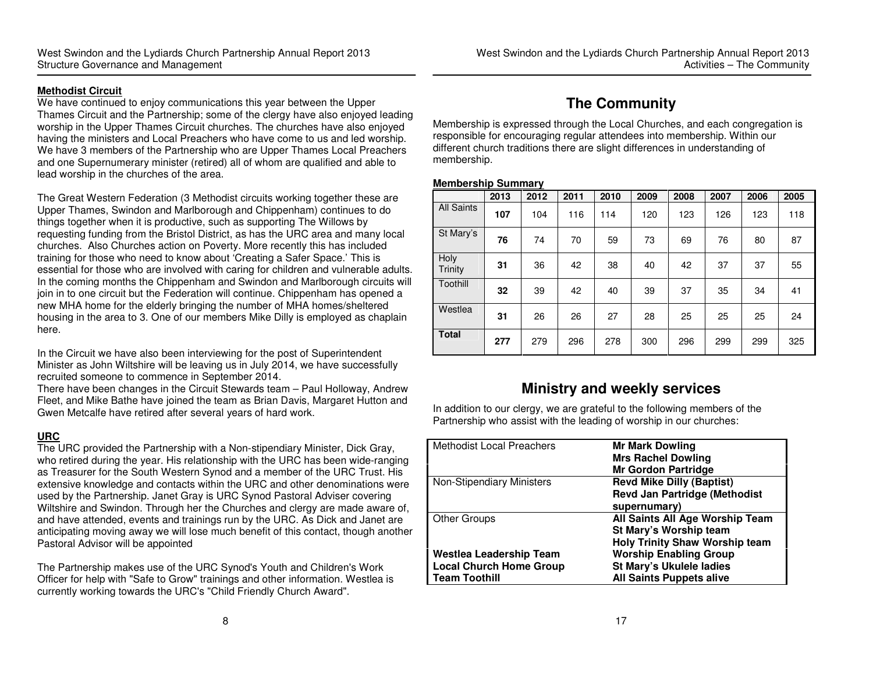#### **Methodist Circuit**

 We have continued to enjoy communications this year between the Upper Thames Circuit and the Partnership; some of the clergy have also enjoyed leading worship in the Upper Thames Circuit churches. The churches have also enjoyed having the ministers and Local Preachers who have come to us and led worship. We have 3 members of the Partnership who are Upper Thames Local Preachers and one Supernumerary minister (retired) all of whom are qualified and able to lead worship in the churches of the area.

The Great Western Federation (3 Methodist circuits working together these are Upper Thames, Swindon and Marlborough and Chippenham) continues to do things together when it is productive, such as supporting The Willows by requesting funding from the Bristol District, as has the URC area and many local churches. Also Churches action on Poverty. More recently this has included training for those who need to know about 'Creating a Safer Space.' This is essential for those who are involved with caring for children and vulnerable adults. In the coming months the Chippenham and Swindon and Marlborough circuits will join in to one circuit but the Federation will continue. Chippenham has opened a new MHA home for the elderly bringing the number of MHA homes/sheltered housing in the area to 3. One of our members Mike Dilly is employed as chaplain here.

In the Circuit we have also been interviewing for the post of Superintendent Minister as John Wiltshire will be leaving us in July 2014, we have successfully recruited someone to commence in September 2014.

 There have been changes in the Circuit Stewards team – Paul Holloway, Andrew Fleet, and Mike Bathe have joined the team as Brian Davis, Margaret Hutton and Gwen Metcalfe have retired after several years of hard work.

#### **URC**

 The URC provided the Partnership with a Non-stipendiary Minister, Dick Gray, who retired during the year. His relationship with the URC has been wide-ranging as Treasurer for the South Western Synod and a member of the URC Trust. His extensive knowledge and contacts within the URC and other denominations were used by the Partnership. Janet Gray is URC Synod Pastoral Adviser covering Wiltshire and Swindon. Through her the Churches and clergy are made aware of, and have attended, events and trainings run by the URC. As Dick and Janet are anticipating moving away we will lose much benefit of this contact, though another Pastoral Advisor will be appointed

The Partnership makes use of the URC Synod's Youth and Children's Work Officer for help with "Safe to Grow" trainings and other information. Westlea is currently working towards the URC's "Child Friendly Church Award".

### **The Community**

Membership is expressed through the Local Churches, and each congregation is responsible for encouraging regular attendees into membership. Within our different church traditions there are slight differences in understanding of membership.

#### **Membership Summary**

|                        | 2013 | 2012 | 2011 | 2010 | 2009 | 2008 | 2007 | 2006 | 2005 |
|------------------------|------|------|------|------|------|------|------|------|------|
| <b>All Saints</b>      | 107  | 104  | 116  | 114  | 120  | 123  | 126  | 123  | 118  |
| St Mary's              | 76   | 74   | 70   | 59   | 73   | 69   | 76   | 80   | 87   |
| Holy<br><b>Trinity</b> | 31   | 36   | 42   | 38   | 40   | 42   | 37   | 37   | 55   |
| Toothill               | 32   | 39   | 42   | 40   | 39   | 37   | 35   | 34   | 41   |
| Westlea                | 31   | 26   | 26   | 27   | 28   | 25   | 25   | 25   | 24   |
| <b>Total</b>           | 277  | 279  | 296  | 278  | 300  | 296  | 299  | 299  | 325  |

### **Ministry and weekly services**

In addition to our clergy, we are grateful to the following members of the Partnership who assist with the leading of worship in our churches:

| <b>Methodist Local Preachers</b> | <b>Mr Mark Dowling</b>                |
|----------------------------------|---------------------------------------|
|                                  | <b>Mrs Rachel Dowling</b>             |
|                                  | <b>Mr Gordon Partridge</b>            |
| <b>Non-Stipendiary Ministers</b> | <b>Revd Mike Dilly (Baptist)</b>      |
|                                  | <b>Revd Jan Partridge (Methodist</b>  |
|                                  | supernumary)                          |
| <b>Other Groups</b>              | All Saints All Age Worship Team       |
|                                  | St Mary's Worship team                |
|                                  | <b>Holy Trinity Shaw Worship team</b> |
| <b>Westlea Leadership Team</b>   | <b>Worship Enabling Group</b>         |
| <b>Local Church Home Group</b>   | <b>St Mary's Ukulele ladies</b>       |
| <b>Team Toothill</b>             | <b>All Saints Puppets alive</b>       |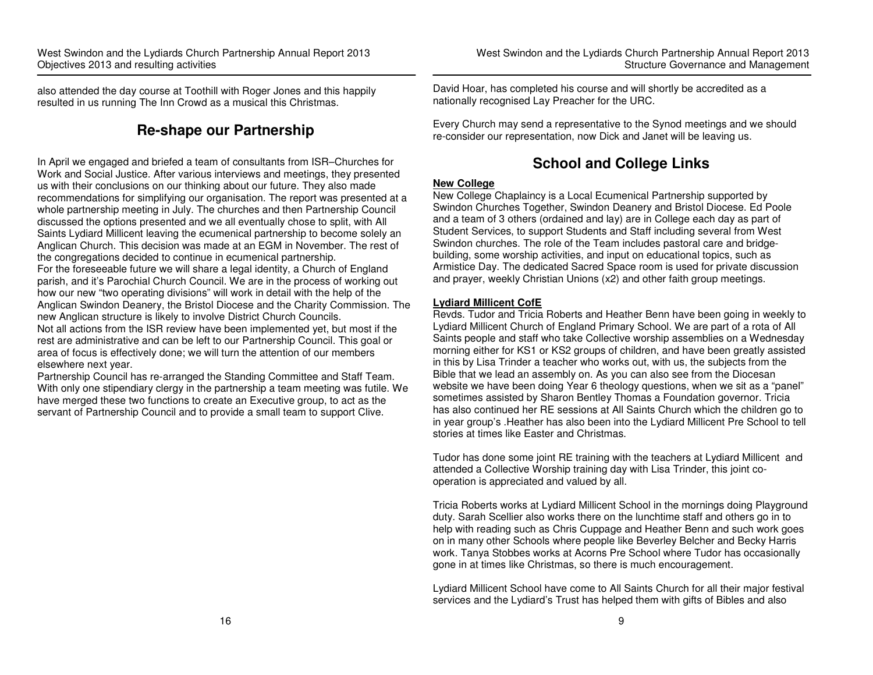also attended the day course at Toothill with Roger Jones and this happily resulted in us running The Inn Crowd as a musical this Christmas.

### **Re-shape our Partnership**

In April we engaged and briefed a team of consultants from ISR–Churches for Work and Social Justice. After various interviews and meetings, they presented us with their conclusions on our thinking about our future. They also made recommendations for simplifying our organisation. The report was presented at a whole partnership meeting in July. The churches and then Partnership Council discussed the options presented and we all eventually chose to split, with All Saints Lydiard Millicent leaving the ecumenical partnership to become solely an Anglican Church. This decision was made at an EGM in November. The rest of the congregations decided to continue in ecumenical partnership. For the foreseeable future we will share a legal identity, a Church of England parish, and it's Parochial Church Council. We are in the process of working out how our new "two operating divisions" will work in detail with the help of the Anglican Swindon Deanery, the Bristol Diocese and the Charity Commission. The new Anglican structure is likely to involve District Church Councils. Not all actions from the ISR review have been implemented yet, but most if the rest are administrative and can be left to our Partnership Council. This goal or area of focus is effectively done; we will turn the attention of our members elsewhere next year.

 Partnership Council has re-arranged the Standing Committee and Staff Team. With only one stipendiary clergy in the partnership a team meeting was futile. We have merged these two functions to create an Executive group, to act as the servant of Partnership Council and to provide a small team to support Clive.

David Hoar, has completed his course and will shortly be accredited as a nationally recognised Lay Preacher for the URC.

Every Church may send a representative to the Synod meetings and we should re-consider our representation, now Dick and Janet will be leaving us.

### **School and College Links**

#### **New College**

 New College Chaplaincy is a Local Ecumenical Partnership supported by Swindon Churches Together, Swindon Deanery and Bristol Diocese. Ed Poole and a team of 3 others (ordained and lay) are in College each day as part of Student Services, to support Students and Staff including several from West Swindon churches. The role of the Team includes pastoral care and bridgebuilding, some worship activities, and input on educational topics, such as Armistice Day. The dedicated Sacred Space room is used for private discussion and prayer, weekly Christian Unions (x2) and other faith group meetings.

#### **Lydiard Millicent CofE**

 Revds. Tudor and Tricia Roberts and Heather Benn have been going in weekly to Lydiard Millicent Church of England Primary School. We are part of a rota of All Saints people and staff who take Collective worship assemblies on a Wednesday morning either for KS1 or KS2 groups of children, and have been greatly assisted in this by Lisa Trinder a teacher who works out, with us, the subjects from the Bible that we lead an assembly on. As you can also see from the Diocesan website we have been doing Year 6 theology questions, when we sit as a "panel" sometimes assisted by Sharon Bentley Thomas a Foundation governor. Tricia has also continued her RE sessions at All Saints Church which the children go to in year group's .Heather has also been into the Lydiard Millicent Pre School to tell stories at times like Easter and Christmas.

Tudor has done some joint RE training with the teachers at Lydiard Millicent and attended a Collective Worship training day with Lisa Trinder, this joint cooperation is appreciated and valued by all.

Tricia Roberts works at Lydiard Millicent School in the mornings doing Playground duty. Sarah Scellier also works there on the lunchtime staff and others go in to help with reading such as Chris Cuppage and Heather Benn and such work goes on in many other Schools where people like Beverley Belcher and Becky Harris work. Tanya Stobbes works at Acorns Pre School where Tudor has occasionally gone in at times like Christmas, so there is much encouragement.

Lydiard Millicent School have come to All Saints Church for all their major festival services and the Lydiard's Trust has helped them with gifts of Bibles and also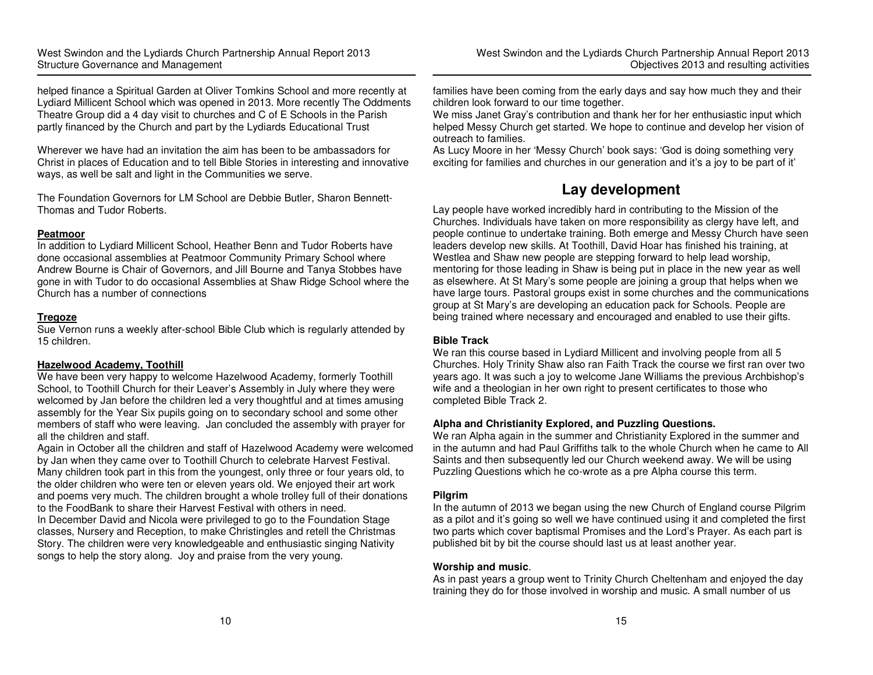helped finance a Spiritual Garden at Oliver Tomkins School and more recently at Lydiard Millicent School which was opened in 2013. More recently The Oddments Theatre Group did a 4 day visit to churches and C of E Schools in the Parish partly financed by the Church and part by the Lydiards Educational Trust

Wherever we have had an invitation the aim has been to be ambassadors for Christ in places of Education and to tell Bible Stories in interesting and innovative ways, as well be salt and light in the Communities we serve.

The Foundation Governors for LM School are Debbie Butler, Sharon Bennett-Thomas and Tudor Roberts.

#### **Peatmoor**

 In addition to Lydiard Millicent School, Heather Benn and Tudor Roberts have done occasional assemblies at Peatmoor Community Primary School where Andrew Bourne is Chair of Governors, and Jill Bourne and Tanya Stobbes have gone in with Tudor to do occasional Assemblies at Shaw Ridge School where the Church has a number of connections

#### **Tregoze**

 Sue Vernon runs a weekly after-school Bible Club which is regularly attended by 15 children.

#### **Hazelwood Academy, Toothill**

 We have been very happy to welcome Hazelwood Academy, formerly Toothill School, to Toothill Church for their Leaver's Assembly in July where they were welcomed by Jan before the children led a very thoughtful and at times amusing assembly for the Year Six pupils going on to secondary school and some other members of staff who were leaving. Jan concluded the assembly with prayer for all the children and staff.

 Again in October all the children and staff of Hazelwood Academy were welcomed by Jan when they came over to Toothill Church to celebrate Harvest Festival. Many children took part in this from the youngest, only three or four years old, to the older children who were ten or eleven years old. We enjoyed their art work and poems very much. The children brought a whole trolley full of their donations to the FoodBank to share their Harvest Festival with others in need. In December David and Nicola were privileged to go to the Foundation Stage classes, Nursery and Reception, to make Christingles and retell the Christmas Story. The children were very knowledgeable and enthusiastic singing Nativity songs to help the story along. Joy and praise from the very young.

families have been coming from the early days and say how much they and their children look forward to our time together.

 We miss Janet Gray's contribution and thank her for her enthusiastic input which helped Messy Church get started. We hope to continue and develop her vision of outreach to families.

 As Lucy Moore in her 'Messy Church' book says: 'God is doing something very exciting for families and churches in our generation and it's a joy to be part of it'

### **Lay development**

Lay people have worked incredibly hard in contributing to the Mission of the Churches. Individuals have taken on more responsibility as clergy have left, and people continue to undertake training. Both emerge and Messy Church have seen leaders develop new skills. At Toothill, David Hoar has finished his training, at Westlea and Shaw new people are stepping forward to help lead worship, mentoring for those leading in Shaw is being put in place in the new year as well as elsewhere. At St Mary's some people are joining a group that helps when we have large tours. Pastoral groups exist in some churches and the communications group at St Mary's are developing an education pack for Schools. People are being trained where necessary and encouraged and enabled to use their gifts.

#### **Bible Track**

 We ran this course based in Lydiard Millicent and involving people from all 5 Churches. Holy Trinity Shaw also ran Faith Track the course we first ran over two years ago. It was such a joy to welcome Jane Williams the previous Archbishop's wife and a theologian in her own right to present certificates to those who completed Bible Track 2.

#### **Alpha and Christianity Explored, and Puzzling Questions.**

 We ran Alpha again in the summer and Christianity Explored in the summer and in the autumn and had Paul Griffiths talk to the whole Church when he came to All Saints and then subsequently led our Church weekend away. We will be using Puzzling Questions which he co-wrote as a pre Alpha course this term.

#### **Pilgrim**

 In the autumn of 2013 we began using the new Church of England course Pilgrim as a pilot and it's going so well we have continued using it and completed the first two parts which cover baptismal Promises and the Lord's Prayer. As each part is published bit by bit the course should last us at least another year.

#### **Worship and music**.

 As in past years a group went to Trinity Church Cheltenham and enjoyed the day training they do for those involved in worship and music. A small number of us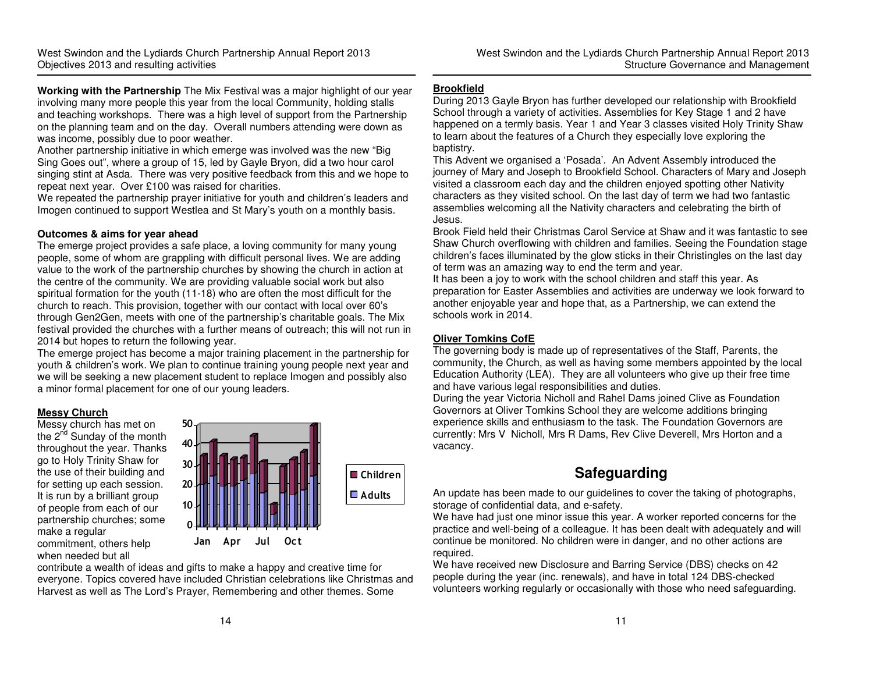**Working with the Partnership** The Mix Festival was a major highlight of our yearinvolving many more people this year from the local Community, holding stalls and teaching workshops. There was a high level of support from the Partnership on the planning team and on the day. Overall numbers attending were down as was income, possibly due to poor weather.

 Another partnership initiative in which emerge was involved was the new "Big Sing Goes out", where a group of 15, led by Gayle Bryon, did a two hour carol singing stint at Asda. There was very positive feedback from this and we hope to repeat next year. Over £100 was raised for charities.

 We repeated the partnership prayer initiative for youth and children's leaders and Imogen continued to support Westlea and St Mary's youth on a monthly basis.

#### **Outcomes & aims for year ahead**

 The emerge project provides a safe place, a loving community for many young people, some of whom are grappling with difficult personal lives. We are adding value to the work of the partnership churches by showing the church in action at the centre of the community. We are providing valuable social work but also spiritual formation for the youth (11-18) who are often the most difficult for the church to reach. This provision, together with our contact with local over 60's through Gen2Gen, meets with one of the partnership's charitable goals. The Mix festival provided the churches with a further means of outreach; this will not run in 2014 but hopes to return the following year.

 The emerge project has become a major training placement in the partnership for youth & children's work. We plan to continue training young people next year and we will be seeking a new placement student to replace Imogen and possibly also a minor formal placement for one of our young leaders.

#### **Messy Church**

 Messy church has met on the 2<sup>nd</sup> Sunday of the month throughout the year. Thanks go to Holy Trinity Shaw for the use of their building and for setting up each session. It is run by a brilliant group of people from each of our partnership churches; some make a regular commitment, others help when needed but all



 contribute a wealth of ideas and gifts to make a happy and creative time for everyone. Topics covered have included Christian celebrations like Christmas and Harvest as well as The Lord's Prayer, Remembering and other themes. Some

#### **Brookfield**

 During 2013 Gayle Bryon has further developed our relationship with Brookfield School through a variety of activities. Assemblies for Key Stage 1 and 2 have happened on a termly basis. Year 1 and Year 3 classes visited Holy Trinity Shaw to learn about the features of a Church they especially love exploring the baptistry.

 This Advent we organised a 'Posada'. An Advent Assembly introduced the journey of Mary and Joseph to Brookfield School. Characters of Mary and Joseph visited a classroom each day and the children enjoyed spotting other Nativity characters as they visited school. On the last day of term we had two fantastic assemblies welcoming all the Nativity characters and celebrating the birth of Jesus.

 Brook Field held their Christmas Carol Service at Shaw and it was fantastic to see Shaw Church overflowing with children and families. Seeing the Foundation stage children's faces illuminated by the glow sticks in their Christingles on the last day of term was an amazing way to end the term and year.

 It has been a joy to work with the school children and staff this year. As preparation for Easter Assemblies and activities are underway we look forward to another enjoyable year and hope that, as a Partnership, we can extend the schools work in 2014.

#### **Oliver Tomkins CofE**

 The governing body is made up of representatives of the Staff, Parents, the community, the Church, as well as having some members appointed by the local Education Authority (LEA). They are all volunteers who give up their free time and have various legal responsibilities and duties.

 During the year Victoria Nicholl and Rahel Dams joined Clive as Foundation Governors at Oliver Tomkins School they are welcome additions bringing experience skills and enthusiasm to the task. The Foundation Governors are currently: Mrs V Nicholl, Mrs R Dams, Rev Clive Deverell, Mrs Horton and a vacancy.

### **Safeguarding**

An update has been made to our guidelines to cover the taking of photographs, storage of confidential data, and e-safety.

 We have had just one minor issue this year. A worker reported concerns for the practice and well-being of a colleague. It has been dealt with adequately and will continue be monitored. No children were in danger, and no other actions are required.

 We have received new Disclosure and Barring Service (DBS) checks on 42 people during the year (inc. renewals), and have in total 124 DBS-checked volunteers working regularly or occasionally with those who need safeguarding.